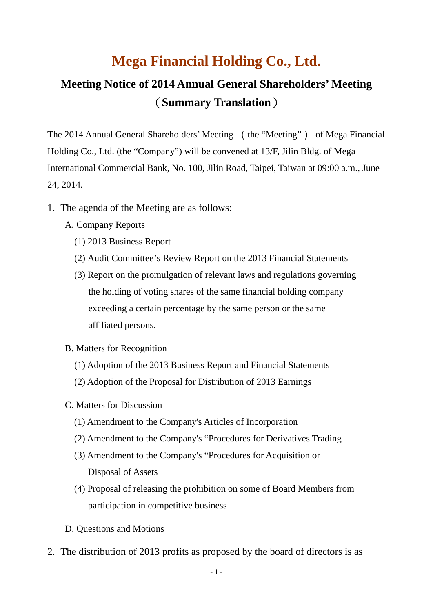## **Mega Financial Holding Co., Ltd.**

## **Meeting Notice of 2014 Annual General Shareholders' Meeting** (**Summary Translation**)

The 2014 Annual General Shareholders' Meeting (the "Meeting") of Mega Financial Holding Co., Ltd. (the "Company") will be convened at 13/F, Jilin Bldg. of Mega International Commercial Bank, No. 100, Jilin Road, Taipei, Taiwan at 09:00 a.m., June 24, 2014.

- 1. The agenda of the Meeting are as follows:
	- A. Company Reports
		- (1) 2013 Business Report
		- (2) Audit Committee's Review Report on the 2013 Financial Statements
		- (3) Report on the promulgation of relevant laws and regulations governing the holding of voting shares of the same financial holding company exceeding a certain percentage by the same person or the same affiliated persons.
	- B. Matters for Recognition
		- (1) Adoption of the 2013 Business Report and Financial Statements
		- (2) Adoption of the Proposal for Distribution of 2013 Earnings
	- C. Matters for Discussion
		- (1) Amendment to the Company's Articles of Incorporation
		- (2) Amendment to the Company's "Procedures for Derivatives Trading
		- (3) Amendment to the Company's "Procedures for Acquisition or Disposal of Assets
		- (4) Proposal of releasing the prohibition on some of Board Members from participation in competitive business
	- D. Questions and Motions
- 2. The distribution of 2013 profits as proposed by the board of directors is as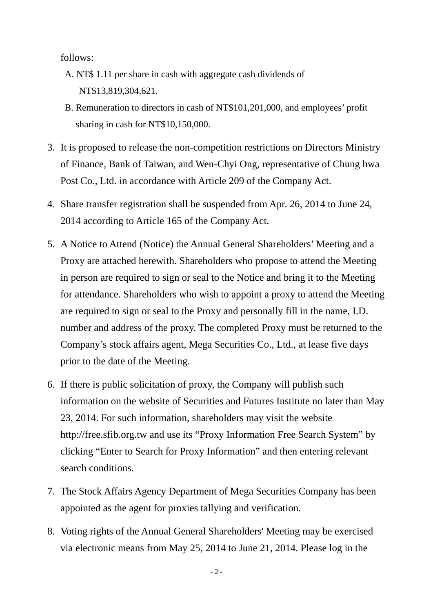follows:

- A. NT\$ 1.11 per share in cash with aggregate cash dividends of NT\$13,819,304,621.
- B. Remuneration to directors in cash of NT\$101,201,000, and employees' profit sharing in cash for NT\$10,150,000.
- 3. It is proposed to release the non-competition restrictions on Directors Ministry of Finance, Bank of Taiwan, and Wen-Chyi Ong, representative of Chung hwa Post Co., Ltd. in accordance with Article 209 of the Company Act.
- 4. Share transfer registration shall be suspended from Apr. 26, 2014 to June 24, 2014 according to Article 165 of the Company Act.
- 5. A Notice to Attend (Notice) the Annual General Shareholders' Meeting and a Proxy are attached herewith. Shareholders who propose to attend the Meeting in person are required to sign or seal to the Notice and bring it to the Meeting for attendance. Shareholders who wish to appoint a proxy to attend the Meeting are required to sign or seal to the Proxy and personally fill in the name, I.D. number and address of the proxy. The completed Proxy must be returned to the Company's stock affairs agent, Mega Securities Co., Ltd., at lease five days prior to the date of the Meeting.
- 6. If there is public solicitation of proxy, the Company will publish such information on the website of Securities and Futures Institute no later than May 23, 2014. For such information, shareholders may visit the website http://free.sfib.org.tw and use its "Proxy Information Free Search System" by clicking "Enter to Search for Proxy Information" and then entering relevant search conditions.
- 7. The Stock Affairs Agency Department of Mega Securities Company has been appointed as the agent for proxies tallying and verification.
- 8. Voting rights of the Annual General Shareholders' Meeting may be exercised via electronic means from May 25, 2014 to June 21, 2014. Please log in the